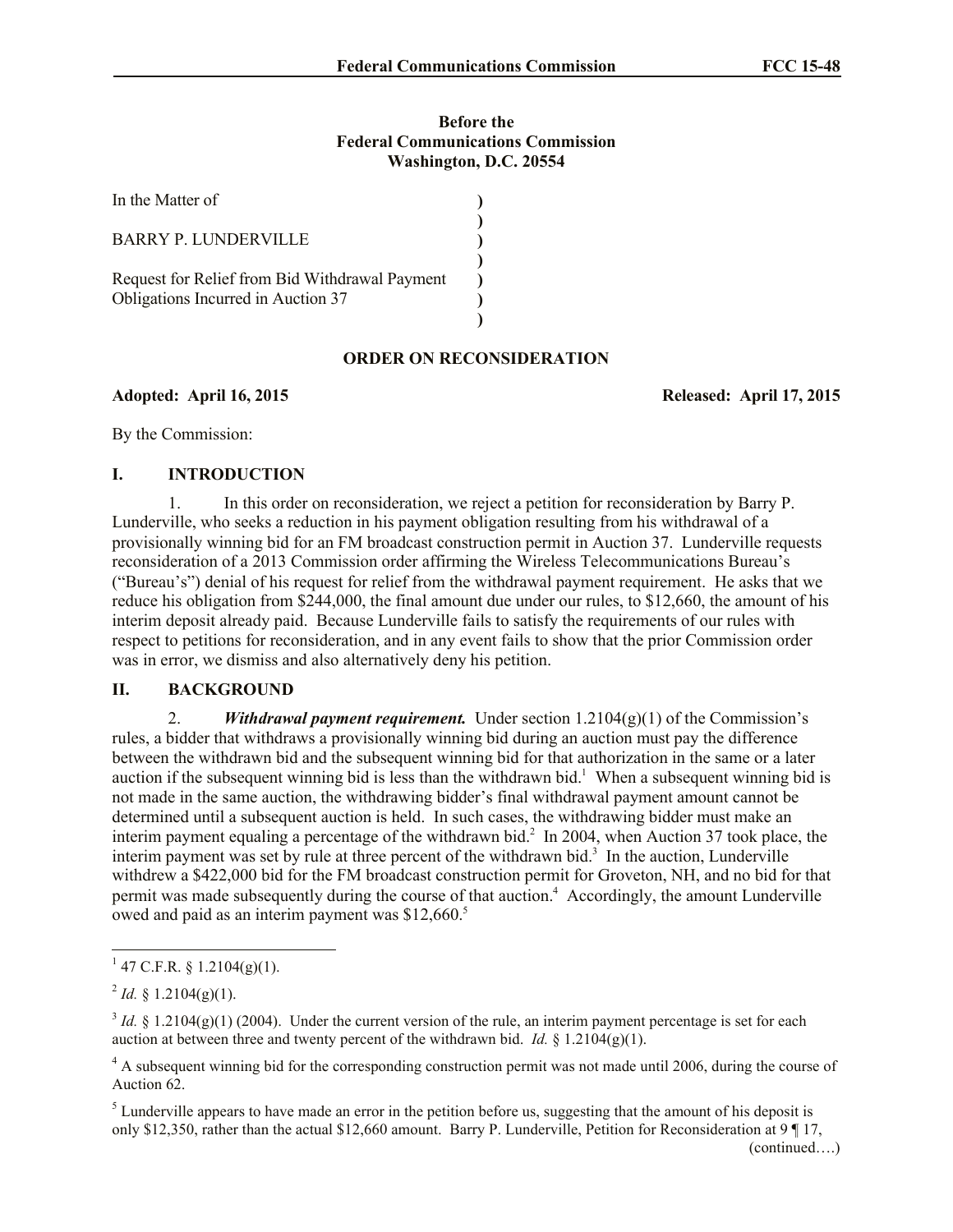## **Before the Federal Communications Commission Washington, D.C. 20554**

| In the Matter of                                                                     |  |
|--------------------------------------------------------------------------------------|--|
| <b>BARRY P. LUNDERVILLE</b>                                                          |  |
| Request for Relief from Bid Withdrawal Payment<br>Obligations Incurred in Auction 37 |  |

# **ORDER ON RECONSIDERATION**

**Adopted: April 16, 2015 Released: April 17, 2015**

By the Commission:

# **I. INTRODUCTION**

1. In this order on reconsideration, we reject a petition for reconsideration by Barry P. Lunderville, who seeks a reduction in his payment obligation resulting from his withdrawal of a provisionally winning bid for an FM broadcast construction permit in Auction 37. Lunderville requests reconsideration of a 2013 Commission order affirming the Wireless Telecommunications Bureau's ("Bureau's") denial of his request for relief from the withdrawal payment requirement. He asks that we reduce his obligation from \$244,000, the final amount due under our rules, to \$12,660, the amount of his interim deposit already paid. Because Lunderville fails to satisfy the requirements of our rules with respect to petitions for reconsideration, and in any event fails to show that the prior Commission order was in error, we dismiss and also alternatively deny his petition.

## **II. BACKGROUND**

2. **Withdrawal payment requirement.** Under section  $1.2104(g)(1)$  of the Commission's rules, a bidder that withdraws a provisionally winning bid during an auction must pay the difference between the withdrawn bid and the subsequent winning bid for that authorization in the same or a later auction if the subsequent winning bid is less than the withdrawn bid.<sup>1</sup> When a subsequent winning bid is not made in the same auction, the withdrawing bidder's final withdrawal payment amount cannot be determined until a subsequent auction is held. In such cases, the withdrawing bidder must make an interim payment equaling a percentage of the withdrawn bid. $2 \text{ In } 2004$ , when Auction 37 took place, the interim payment was set by rule at three percent of the withdrawn bid.<sup>3</sup> In the auction, Lunderville withdrew a \$422,000 bid for the FM broadcast construction permit for Groveton, NH, and no bid for that permit was made subsequently during the course of that auction.<sup>4</sup> Accordingly, the amount Lunderville owed and paid as an interim payment was \$12,660.<sup>5</sup>

l

 $1$  47 C.F.R. § 1.2104(g)(1).

 $^{2}$  *Id.* § 1.2104(g)(1).

 $3$  *Id.* § 1.2104(g)(1) (2004). Under the current version of the rule, an interim payment percentage is set for each auction at between three and twenty percent of the withdrawn bid. *Id.*  $\oint$  1.2104(g)(1).

<sup>&</sup>lt;sup>4</sup> A subsequent winning bid for the corresponding construction permit was not made until 2006, during the course of Auction 62.

 $<sup>5</sup>$  Lunderville appears to have made an error in the petition before us, suggesting that the amount of his deposit is</sup> only \$12,350, rather than the actual \$12,660 amount. Barry P. Lunderville, Petition for Reconsideration at 9 ¶ 17,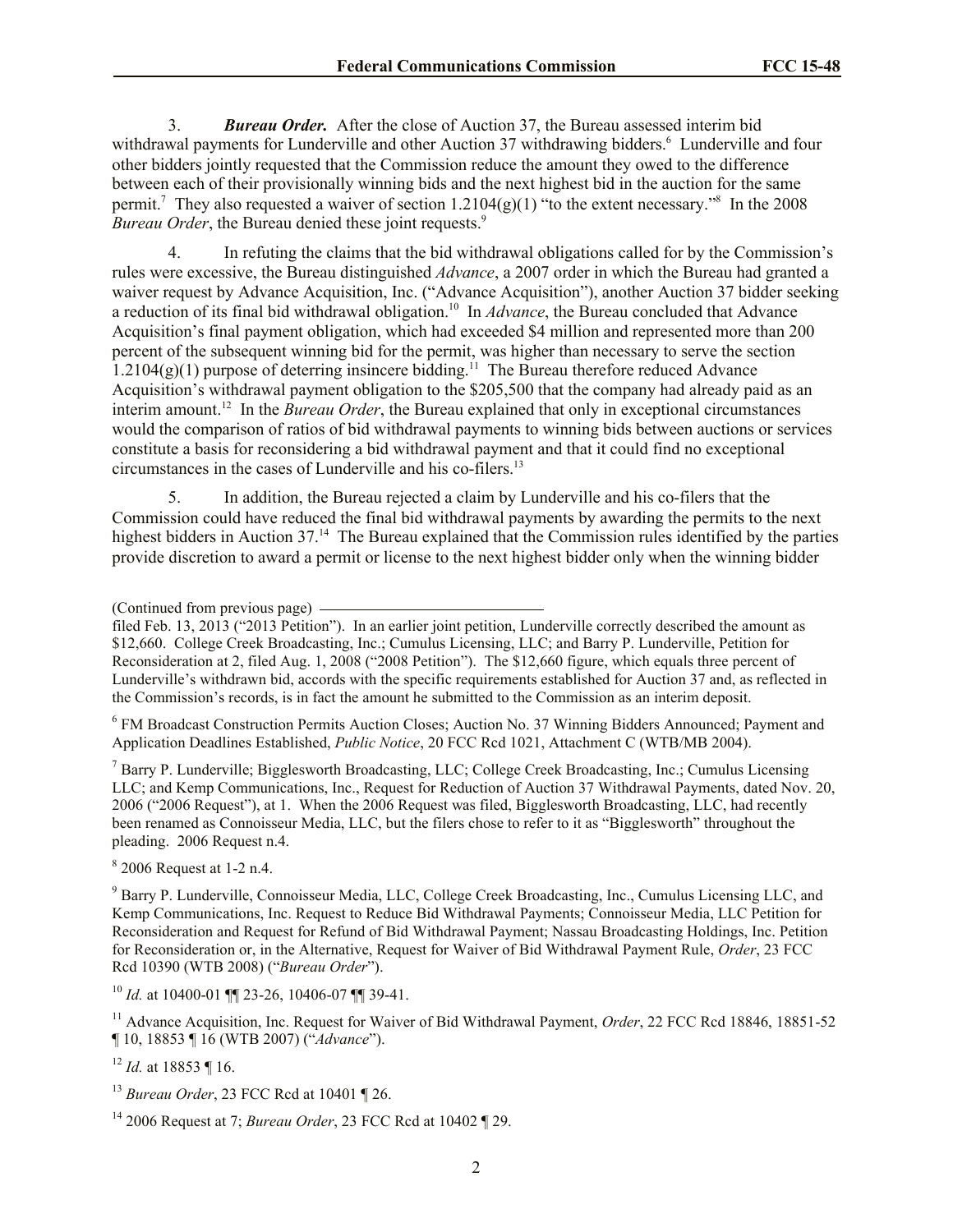3. *Bureau Order.* After the close of Auction 37, the Bureau assessed interim bid withdrawal payments for Lunderville and other Auction 37 withdrawing bidders.<sup>6</sup> Lunderville and four other bidders jointly requested that the Commission reduce the amount they owed to the difference between each of their provisionally winning bids and the next highest bid in the auction for the same permit.<sup>7</sup> They also requested a waiver of section  $1.2104(g)(1)$  "to the extent necessary."<sup>8</sup> In the 2008 *Bureau Order*, the Bureau denied these joint requests.<sup>9</sup>

4. In refuting the claims that the bid withdrawal obligations called for by the Commission's rules were excessive, the Bureau distinguished *Advance*, a 2007 order in which the Bureau had granted a waiver request by Advance Acquisition, Inc. ("Advance Acquisition"), another Auction 37 bidder seeking a reduction of its final bid withdrawal obligation.<sup>10</sup> In *Advance*, the Bureau concluded that Advance Acquisition's final payment obligation, which had exceeded \$4 million and represented more than 200 percent of the subsequent winning bid for the permit, was higher than necessary to serve the section  $1.2104(g)(1)$  purpose of deterring insincere bidding.<sup>11</sup> The Bureau therefore reduced Advance Acquisition's withdrawal payment obligation to the \$205,500 that the company had already paid as an interim amount. 12 In the *Bureau Order*, the Bureau explained that only in exceptional circumstances would the comparison of ratios of bid withdrawal payments to winning bids between auctions or services constitute a basis for reconsidering a bid withdrawal payment and that it could find no exceptional circumstances in the cases of Lunderville and his co-filers.<sup>13</sup>

5. In addition, the Bureau rejected a claim by Lunderville and his co-filers that the Commission could have reduced the final bid withdrawal payments by awarding the permits to the next highest bidders in Auction 37.<sup>14</sup> The Bureau explained that the Commission rules identified by the parties provide discretion to award a permit or license to the next highest bidder only when the winning bidder

<sup>6</sup> FM Broadcast Construction Permits Auction Closes; Auction No. 37 Winning Bidders Announced; Payment and Application Deadlines Established, *Public Notice*, 20 FCC Rcd 1021, Attachment C (WTB/MB 2004).

<sup>7</sup> Barry P. Lunderville; Bigglesworth Broadcasting, LLC; College Creek Broadcasting, Inc.; Cumulus Licensing LLC; and Kemp Communications, Inc., Request for Reduction of Auction 37 Withdrawal Payments, dated Nov. 20, 2006 ("2006 Request"), at 1. When the 2006 Request was filed, Bigglesworth Broadcasting, LLC, had recently been renamed as Connoisseur Media, LLC, but the filers chose to refer to it as "Bigglesworth" throughout the pleading. 2006 Request n.4.

 $8\,2006$  Request at 1-2 n.4.

<sup>9</sup> Barry P. Lunderville, Connoisseur Media, LLC, College Creek Broadcasting, Inc., Cumulus Licensing LLC, and Kemp Communications, Inc. Request to Reduce Bid Withdrawal Payments; Connoisseur Media, LLC Petition for Reconsideration and Request for Refund of Bid Withdrawal Payment; Nassau Broadcasting Holdings, Inc. Petition for Reconsideration or, in the Alternative, Request for Waiver of Bid Withdrawal Payment Rule, *Order*, 23 FCC Rcd 10390 (WTB 2008) ("*Bureau Order*").

<sup>10</sup> *Id.* at 10400-01 ¶¶ 23-26, 10406-07 ¶¶ 39-41.

<sup>11</sup> Advance Acquisition, Inc. Request for Waiver of Bid Withdrawal Payment, *Order*, 22 FCC Rcd 18846, 18851-52 ¶ 10, 18853 ¶ 16 (WTB 2007) ("*Advance*").

<sup>12</sup> *Id.* at 18853 ¶ 16.

<sup>14</sup> 2006 Request at 7; *Bureau Order*, 23 FCC Rcd at 10402 ¶ 29.

<sup>(</sup>Continued from previous page)

filed Feb. 13, 2013 ("2013 Petition"). In an earlier joint petition, Lunderville correctly described the amount as \$12,660. College Creek Broadcasting, Inc.; Cumulus Licensing, LLC; and Barry P. Lunderville, Petition for Reconsideration at 2, filed Aug. 1, 2008 ("2008 Petition"). The \$12,660 figure, which equals three percent of Lunderville's withdrawn bid, accords with the specific requirements established for Auction 37 and, as reflected in the Commission's records, is in fact the amount he submitted to the Commission as an interim deposit.

<sup>13</sup> *Bureau Order*, 23 FCC Rcd at 10401 ¶ 26.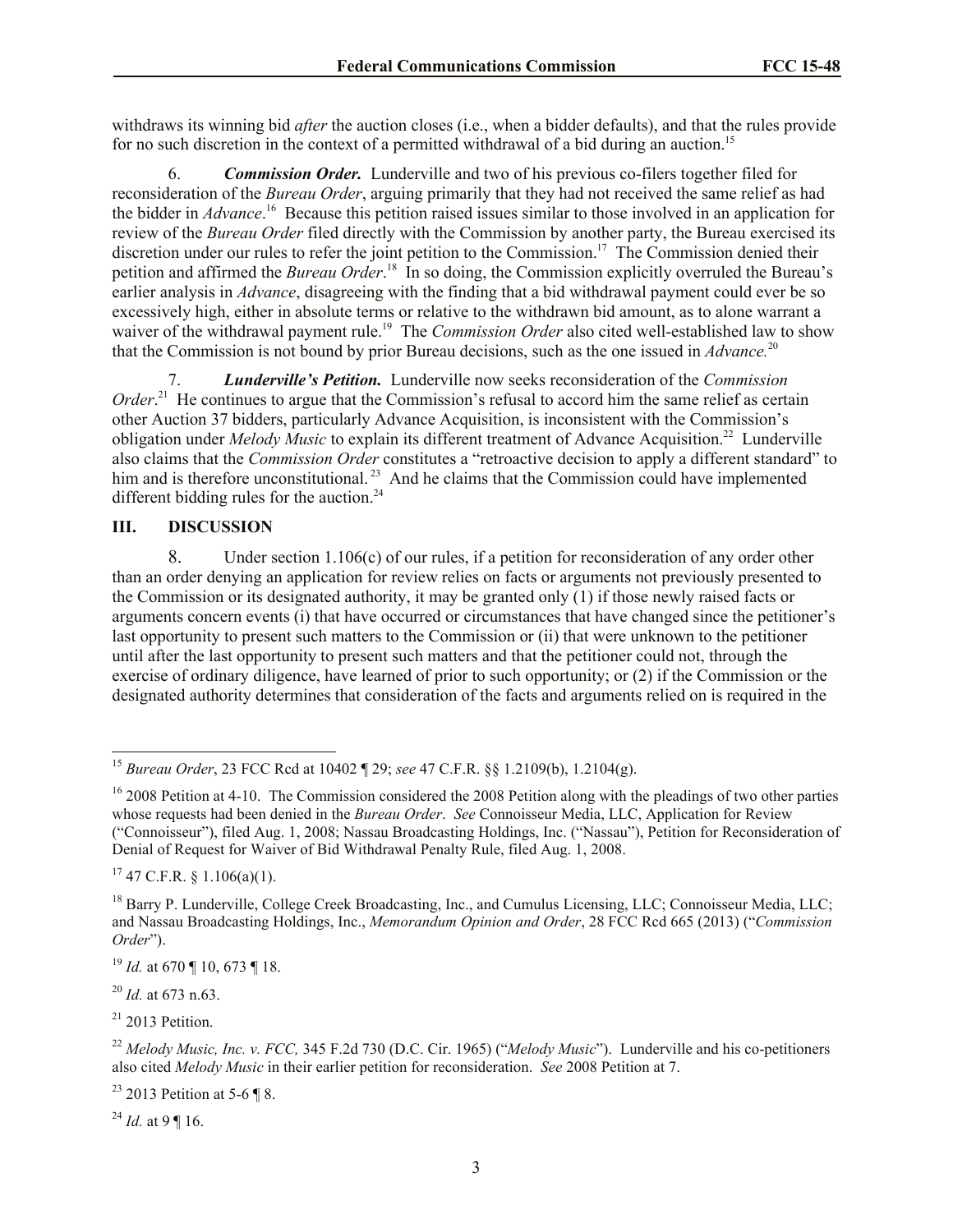withdraws its winning bid *after* the auction closes (i.e., when a bidder defaults), and that the rules provide for no such discretion in the context of a permitted withdrawal of a bid during an auction.<sup>15</sup>

6. *Commission Order.* Lunderville and two of his previous co-filers together filed for reconsideration of the *Bureau Order*, arguing primarily that they had not received the same relief as had the bidder in *Advance*. 16 Because this petition raised issues similar to those involved in an application for review of the *Bureau Order* filed directly with the Commission by another party, the Bureau exercised its discretion under our rules to refer the joint petition to the Commission.<sup>17</sup> The Commission denied their petition and affirmed the *Bureau Order*. 18 In so doing, the Commission explicitly overruled the Bureau's earlier analysis in *Advance*, disagreeing with the finding that a bid withdrawal payment could ever be so excessively high, either in absolute terms or relative to the withdrawn bid amount, as to alone warrant a waiver of the withdrawal payment rule.<sup>19</sup> The *Commission Order* also cited well-established law to show that the Commission is not bound by prior Bureau decisions, such as the one issued in *Advance.*<sup>20</sup>

7. *Lunderville's Petition.*Lunderville now seeks reconsideration of the *Commission*  Order.<sup>21</sup> He continues to argue that the Commission's refusal to accord him the same relief as certain other Auction 37 bidders, particularly Advance Acquisition, is inconsistent with the Commission's obligation under *Melody Music* to explain its different treatment of Advance Acquisition. 22 Lunderville also claims that the *Commission Order* constitutes a "retroactive decision to apply a different standard" to him and is therefore unconstitutional.<sup>23</sup> And he claims that the Commission could have implemented different bidding rules for the auction. $24$ 

## **III. DISCUSSION**

8. Under section 1.106(c) of our rules, if a petition for reconsideration of any order other than an order denying an application for review relies on facts or arguments not previously presented to the Commission or its designated authority, it may be granted only (1) if those newly raised facts or arguments concern events (i) that have occurred or circumstances that have changed since the petitioner's last opportunity to present such matters to the Commission or (ii) that were unknown to the petitioner until after the last opportunity to present such matters and that the petitioner could not, through the exercise of ordinary diligence, have learned of prior to such opportunity; or (2) if the Commission or the designated authority determines that consideration of the facts and arguments relied on is required in the

 $17$  47 C.F.R. § 1.106(a)(1).

<sup>19</sup> *Id.* at 670 ¶ 10, 673 ¶ 18.

<sup>20</sup> *Id.* at 673 n.63.

 $\overline{\phantom{a}}$ 

 $21$  2013 Petition.

<sup>23</sup> 2013 Petition at 5-6 ¶ 8.

 $^{24}$  *Id.* at 9 ¶ 16.

<sup>15</sup> *Bureau Order*, 23 FCC Rcd at 10402 ¶ 29; *see* 47 C.F.R. §§ 1.2109(b), 1.2104(g).

 $16$  2008 Petition at 4-10. The Commission considered the 2008 Petition along with the pleadings of two other parties whose requests had been denied in the *Bureau Order*. *See* Connoisseur Media, LLC, Application for Review ("Connoisseur"), filed Aug. 1, 2008; Nassau Broadcasting Holdings, Inc. ("Nassau"), Petition for Reconsideration of Denial of Request for Waiver of Bid Withdrawal Penalty Rule, filed Aug. 1, 2008.

<sup>&</sup>lt;sup>18</sup> Barry P. Lunderville, College Creek Broadcasting, Inc., and Cumulus Licensing, LLC; Connoisseur Media, LLC; and Nassau Broadcasting Holdings, Inc., *Memorandum Opinion and Order*, 28 FCC Rcd 665 (2013) ("*Commission Order*").

<sup>22</sup> *Melody Music, Inc. v. FCC,* 345 F.2d 730 (D.C. Cir. 1965) ("*Melody Music*"). Lunderville and his co-petitioners also cited *Melody Music* in their earlier petition for reconsideration. *See* 2008 Petition at 7.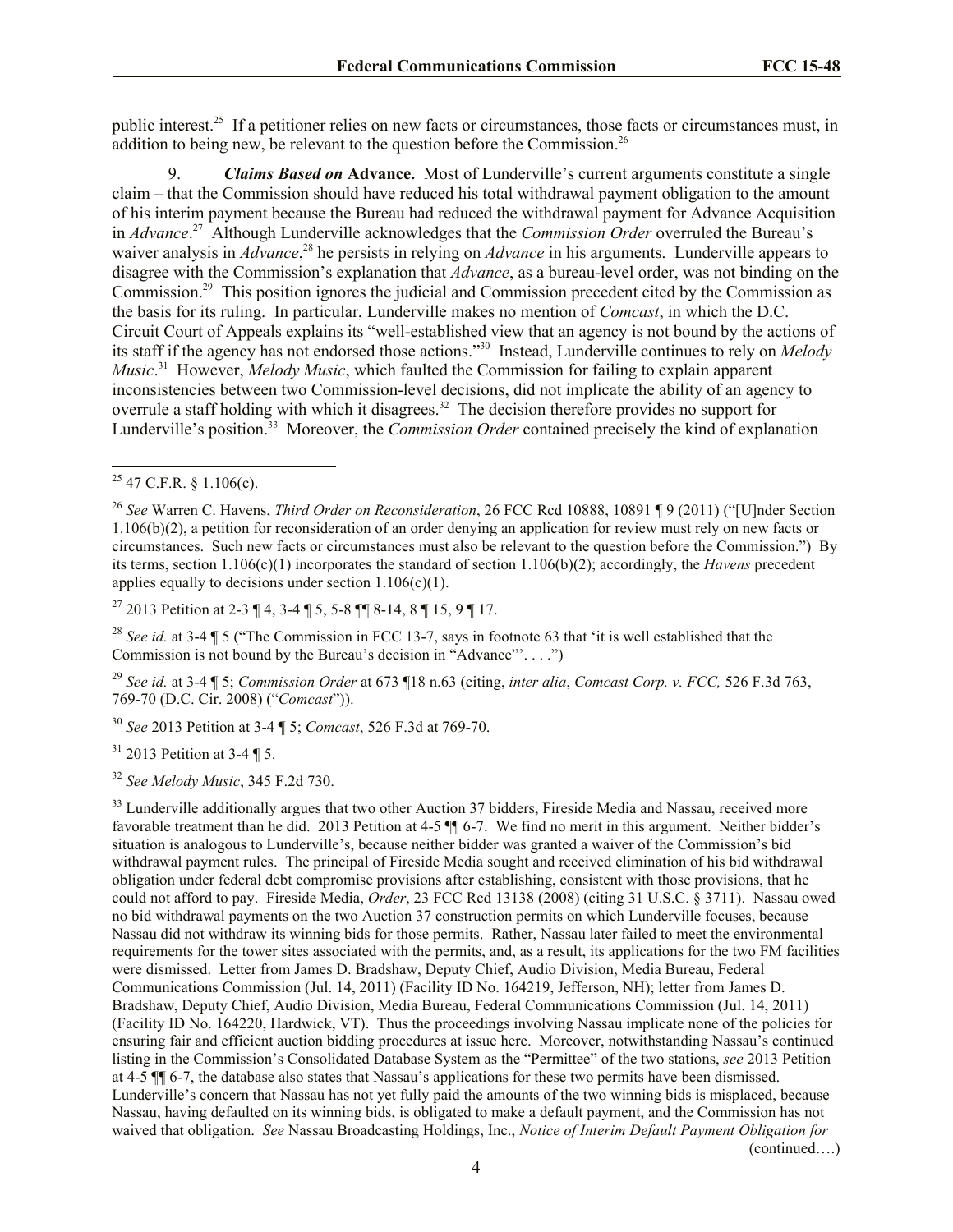public interest.<sup>25</sup> If a petitioner relies on new facts or circumstances, those facts or circumstances must, in addition to being new, be relevant to the question before the Commission.<sup>26</sup>

9. *Claims Based on* **Advance.** Most of Lunderville's current arguments constitute a single claim – that the Commission should have reduced his total withdrawal payment obligation to the amount of his interim payment because the Bureau had reduced the withdrawal payment for Advance Acquisition in *Advance*. 27 Although Lunderville acknowledges that the *Commission Order* overruled the Bureau's waiver analysis in *Advance*, <sup>28</sup> he persists in relying on *Advance* in his arguments. Lunderville appears to disagree with the Commission's explanation that *Advance*, as a bureau-level order, was not binding on the Commission.<sup>29</sup> This position ignores the judicial and Commission precedent cited by the Commission as the basis for its ruling. In particular, Lunderville makes no mention of *Comcast*, in which the D.C. Circuit Court of Appeals explains its "well-established view that an agency is not bound by the actions of its staff if the agency has not endorsed those actions."<sup>30</sup> Instead, Lunderville continues to rely on *Melody Music*. 31 However, *Melody Music*, which faulted the Commission for failing to explain apparent inconsistencies between two Commission-level decisions, did not implicate the ability of an agency to overrule a staff holding with which it disagrees.<sup>32</sup> The decision therefore provides no support for Lunderville's position. 33 Moreover, the *Commission Order* contained precisely the kind of explanation

 $\overline{\phantom{a}}$ 

<sup>27</sup> 2013 Petition at 2-3 ¶ 4, 3-4 ¶ 5, 5-8 ¶¶ 8-14, 8 ¶ 15, 9 ¶ 17.

<sup>28</sup> *See id.* at 3-4 ¶ 5 ("The Commission in FCC 13-7, says in footnote 63 that 'it is well established that the Commission is not bound by the Bureau's decision in "Advance"'. . . .")

<sup>29</sup> *See id.* at 3-4 ¶ 5; *Commission Order* at 673 ¶18 n.63 (citing, *inter alia*, *Comcast Corp. v. FCC,* 526 F.3d 763, 769-70 (D.C. Cir. 2008) ("*Comcast*")).

<sup>30</sup> *See* 2013 Petition at 3-4 ¶ 5; *Comcast*, 526 F.3d at 769-70.

 $31$  2013 Petition at 3-4 ¶ 5.

<sup>32</sup> *See Melody Music*, 345 F.2d 730.

<sup>33</sup> Lunderville additionally argues that two other Auction 37 bidders, Fireside Media and Nassau, received more favorable treatment than he did. 2013 Petition at 4-5  $\P$  6-7. We find no merit in this argument. Neither bidder's situation is analogous to Lunderville's, because neither bidder was granted a waiver of the Commission's bid withdrawal payment rules. The principal of Fireside Media sought and received elimination of his bid withdrawal obligation under federal debt compromise provisions after establishing, consistent with those provisions, that he could not afford to pay. Fireside Media, *Order*, 23 FCC Rcd 13138 (2008) (citing 31 U.S.C. § 3711). Nassau owed no bid withdrawal payments on the two Auction 37 construction permits on which Lunderville focuses, because Nassau did not withdraw its winning bids for those permits. Rather, Nassau later failed to meet the environmental requirements for the tower sites associated with the permits, and, as a result, its applications for the two FM facilities were dismissed. Letter from James D. Bradshaw, Deputy Chief, Audio Division, Media Bureau, Federal Communications Commission (Jul. 14, 2011) (Facility ID No. 164219, Jefferson, NH); letter from James D. Bradshaw, Deputy Chief, Audio Division, Media Bureau, Federal Communications Commission (Jul. 14, 2011) (Facility ID No. 164220, Hardwick, VT). Thus the proceedings involving Nassau implicate none of the policies for ensuring fair and efficient auction bidding procedures at issue here. Moreover, notwithstanding Nassau's continued listing in the Commission's Consolidated Database System as the "Permittee" of the two stations, *see* 2013 Petition at 4-5 ¶¶ 6-7, the database also states that Nassau's applications for these two permits have been dismissed. Lunderville's concern that Nassau has not yet fully paid the amounts of the two winning bids is misplaced, because Nassau, having defaulted on its winning bids, is obligated to make a default payment, and the Commission has not waived that obligation. *See* Nassau Broadcasting Holdings, Inc., *Notice of Interim Default Payment Obligation for* 

(continued….)

 $25$  47 C.F.R. § 1.106(c).

<sup>26</sup> *See* Warren C. Havens, *Third Order on Reconsideration*, 26 FCC Rcd 10888, 10891 ¶ 9 (2011) ("[U]nder Section 1.106(b)(2), a petition for reconsideration of an order denying an application for review must rely on new facts or circumstances. Such new facts or circumstances must also be relevant to the question before the Commission.") By its terms, section 1.106(c)(1) incorporates the standard of section 1.106(b)(2); accordingly, the *Havens* precedent applies equally to decisions under section  $1.106(c)(1)$ .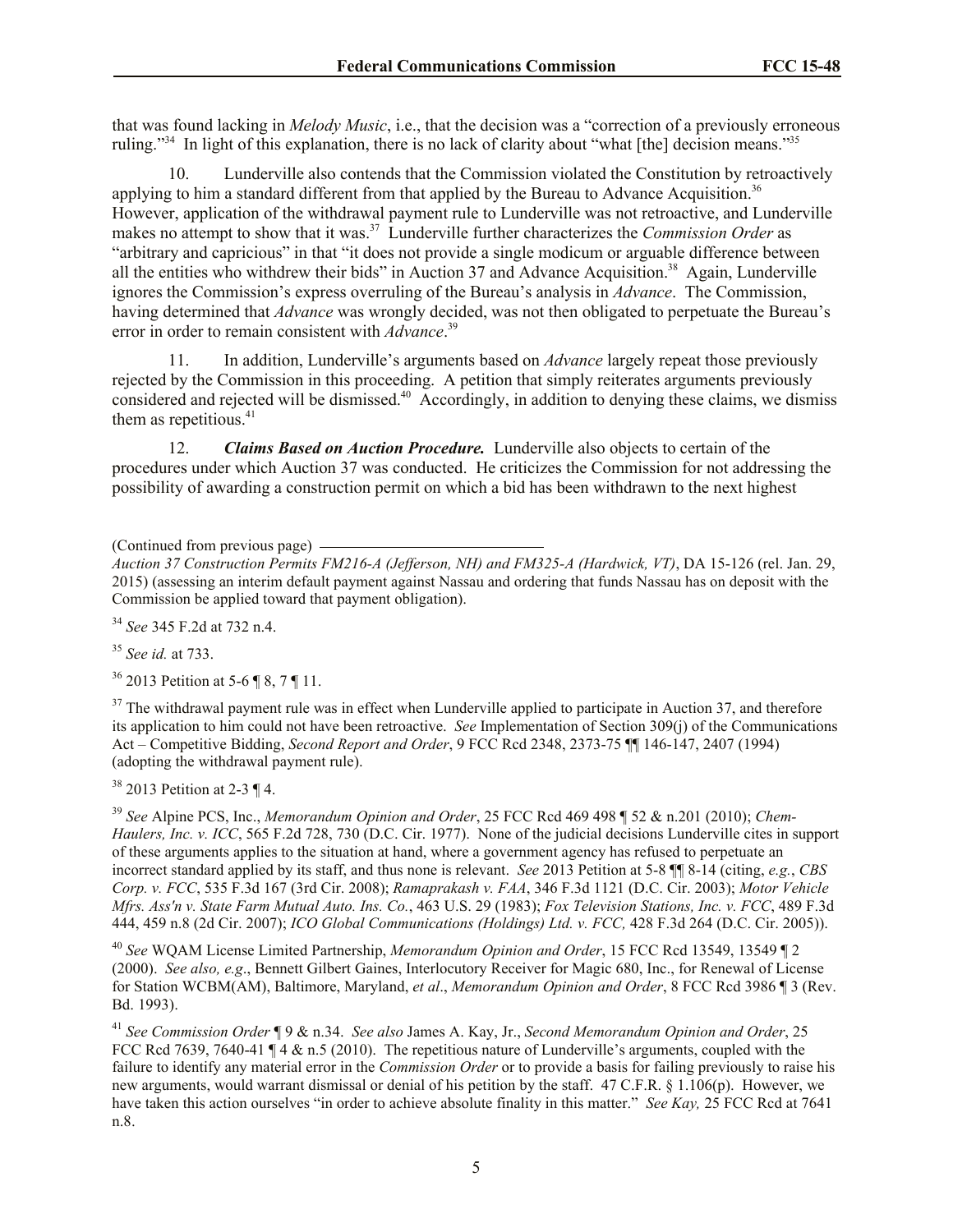that was found lacking in *Melody Music*, i.e., that the decision was a "correction of a previously erroneous ruling."<sup>34</sup> In light of this explanation, there is no lack of clarity about "what [the] decision means."<sup>35</sup>

10. Lunderville also contends that the Commission violated the Constitution by retroactively applying to him a standard different from that applied by the Bureau to Advance Acquisition.<sup>36</sup> However, application of the withdrawal payment rule to Lunderville was not retroactive, and Lunderville makes no attempt to show that it was.<sup>37</sup> Lunderville further characterizes the *Commission Order* as "arbitrary and capricious" in that "it does not provide a single modicum or arguable difference between all the entities who withdrew their bids" in Auction 37 and Advance Acquisition.<sup>38</sup> Again, Lunderville ignores the Commission's express overruling of the Bureau's analysis in *Advance*. The Commission, having determined that *Advance* was wrongly decided, was not then obligated to perpetuate the Bureau's error in order to remain consistent with *Advance*. 39

11. In addition, Lunderville's arguments based on *Advance* largely repeat those previously rejected by the Commission in this proceeding. A petition that simply reiterates arguments previously considered and rejected will be dismissed.<sup>40</sup> Accordingly, in addition to denying these claims, we dismiss them as repetitious.<sup>41</sup>

12. *Claims Based on Auction Procedure.* Lunderville also objects to certain of the procedures under which Auction 37 was conducted. He criticizes the Commission for not addressing the possibility of awarding a construction permit on which a bid has been withdrawn to the next highest

(Continued from previous page)

<sup>34</sup> *See* 345 F.2d at 732 n.4.

<sup>35</sup> *See id.* at 733.

<sup>36</sup> 2013 Petition at 5-6 ¶ 8, 7 ¶ 11.

 $37$  The withdrawal payment rule was in effect when Lunderville applied to participate in Auction 37, and therefore its application to him could not have been retroactive. *See* Implementation of Section 309(j) of the Communications Act – Competitive Bidding, *Second Report and Order*, 9 FCC Rcd 2348, 2373-75 ¶¶ 146-147, 2407 (1994) (adopting the withdrawal payment rule).

<sup>38</sup> 2013 Petition at 2-3 ¶ 4.

<sup>39</sup> *See* Alpine PCS, Inc., *Memorandum Opinion and Order*, 25 FCC Rcd 469 498 ¶ 52 & n.201 (2010); *Chem-Haulers, Inc. v. ICC*, 565 F.2d 728, 730 (D.C. Cir. 1977). None of the judicial decisions Lunderville cites in support of these arguments applies to the situation at hand, where a government agency has refused to perpetuate an incorrect standard applied by its staff, and thus none is relevant. *See* 2013 Petition at 5-8 ¶¶ 8-14 (citing, *e.g.*, *CBS Corp. v. FCC*, 535 F.3d 167 (3rd Cir. 2008); *Ramaprakash v. FAA*, 346 F.3d 1121 (D.C. Cir. 2003); *Motor Vehicle Mfrs. Ass'n v. State Farm Mutual Auto. Ins. Co.*, 463 U.S. 29 (1983); *Fox Television Stations, Inc. v. FCC*, 489 F.3d 444, 459 n.8 (2d Cir. 2007); *ICO Global Communications (Holdings) Ltd. v. FCC,* 428 F.3d 264 (D.C. Cir. 2005)).

<sup>40</sup> *See* WQAM License Limited Partnership, *Memorandum Opinion and Order*, 15 FCC Rcd 13549, 13549 ¶ 2 (2000). *See also, e.g*., Bennett Gilbert Gaines, Interlocutory Receiver for Magic 680, Inc., for Renewal of License for Station WCBM(AM), Baltimore, Maryland, *et al*., *Memorandum Opinion and Order*, 8 FCC Rcd 3986 ¶ 3 (Rev. Bd. 1993).

<sup>41</sup> *See Commission Order* ¶ 9 & n.34. *See also* James A. Kay, Jr., *Second Memorandum Opinion and Order*, 25 FCC Rcd 7639, 7640-41 ¶ 4 & n.5 (2010). The repetitious nature of Lunderville's arguments, coupled with the failure to identify any material error in the *Commission Order* or to provide a basis for failing previously to raise his new arguments, would warrant dismissal or denial of his petition by the staff. 47 C.F.R. § 1.106(p). However, we have taken this action ourselves "in order to achieve absolute finality in this matter." *See Kay,* 25 FCC Rcd at 7641 n.8.

*Auction 37 Construction Permits FM216-A (Jefferson, NH) and FM325-A (Hardwick, VT)*, DA 15-126 (rel. Jan. 29, 2015) (assessing an interim default payment against Nassau and ordering that funds Nassau has on deposit with the Commission be applied toward that payment obligation).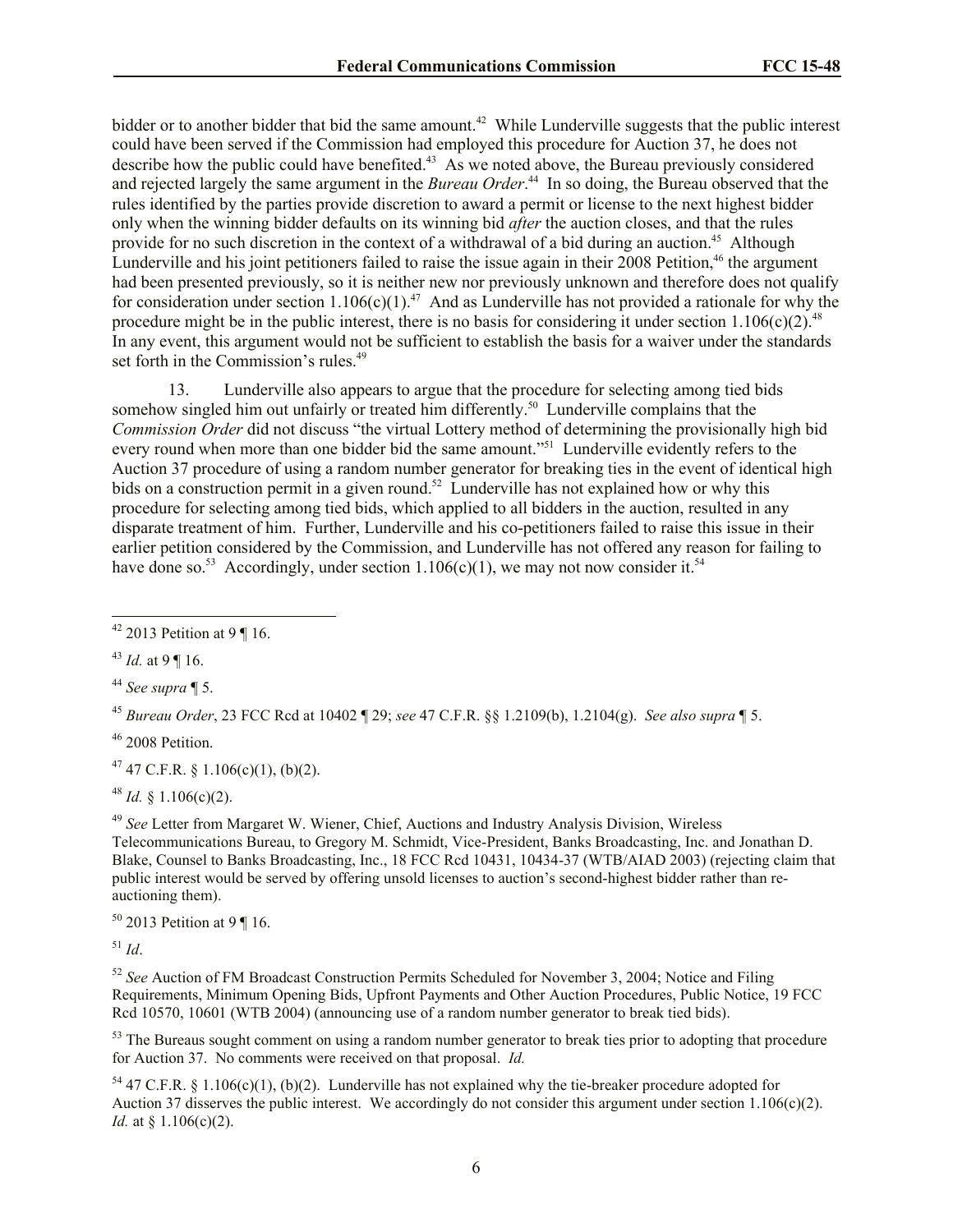bidder or to another bidder that bid the same amount.<sup>42</sup> While Lunderville suggests that the public interest could have been served if the Commission had employed this procedure for Auction 37, he does not describe how the public could have benefited.<sup>43</sup> As we noted above, the Bureau previously considered and rejected largely the same argument in the *Bureau Order*. 44 In so doing, the Bureau observed that the rules identified by the parties provide discretion to award a permit or license to the next highest bidder only when the winning bidder defaults on its winning bid *after* the auction closes, and that the rules provide for no such discretion in the context of a withdrawal of a bid during an auction.<sup>45</sup> Although Lunderville and his joint petitioners failed to raise the issue again in their  $2008$  Petition,<sup>46</sup> the argument had been presented previously, so it is neither new nor previously unknown and therefore does not qualify for consideration under section 1.106(c)(1).<sup>47</sup> And as Lunderville has not provided a rationale for why the procedure might be in the public interest, there is no basis for considering it under section  $1.106(c)(2)^{48}$ In any event, this argument would not be sufficient to establish the basis for a waiver under the standards set forth in the Commission's rules.<sup>49</sup>

13. Lunderville also appears to argue that the procedure for selecting among tied bids somehow singled him out unfairly or treated him differently.<sup>50</sup> Lunderville complains that the *Commission Order* did not discuss "the virtual Lottery method of determining the provisionally high bid every round when more than one bidder bid the same amount."<sup>51</sup> Lunderville evidently refers to the Auction 37 procedure of using a random number generator for breaking ties in the event of identical high bids on a construction permit in a given round.<sup>52</sup> Lunderville has not explained how or why this procedure for selecting among tied bids, which applied to all bidders in the auction, resulted in any disparate treatment of him. Further, Lunderville and his co-petitioners failed to raise this issue in their earlier petition considered by the Commission, and Lunderville has not offered any reason for failing to have done so.<sup>53</sup> Accordingly, under section 1.106(c)(1), we may not now consider it.<sup>54</sup>

<sup>45</sup> *Bureau Order*, 23 FCC Rcd at 10402 ¶ 29; *see* 47 C.F.R. §§ 1.2109(b), 1.2104(g). *See also supra* ¶ 5.

 $46$  2008 Petition.

 $47$  47 C.F.R. § 1.106(c)(1), (b)(2).

 $48$  *Id.* § 1.106(c)(2).

<sup>49</sup> *See* Letter from Margaret W. Wiener, Chief, Auctions and Industry Analysis Division, Wireless Telecommunications Bureau, to Gregory M. Schmidt, Vice-President, Banks Broadcasting, Inc. and Jonathan D. Blake, Counsel to Banks Broadcasting, Inc., 18 FCC Rcd 10431, 10434-37 (WTB/AIAD 2003) (rejecting claim that public interest would be served by offering unsold licenses to auction's second-highest bidder rather than reauctioning them).

 $50$  2013 Petition at 9 ¶ 16.

 $^{51}$  *Id*.

<sup>52</sup> *See* Auction of FM Broadcast Construction Permits Scheduled for November 3, 2004; Notice and Filing Requirements, Minimum Opening Bids, Upfront Payments and Other Auction Procedures, Public Notice, 19 FCC Rcd 10570, 10601 (WTB 2004) (announcing use of a random number generator to break tied bids).

<sup>53</sup> The Bureaus sought comment on using a random number generator to break ties prior to adopting that procedure for Auction 37. No comments were received on that proposal. *Id.*

 $54$  47 C.F.R. § 1.106(c)(1), (b)(2). Lunderville has not explained why the tie-breaker procedure adopted for Auction 37 disserves the public interest. We accordingly do not consider this argument under section 1.106(c)(2). *Id.* at § 1.106(c)(2).

 $\overline{\phantom{a}}$  $42$  2013 Petition at 9 ¶ 16.

<sup>43</sup> *Id.* at 9 ¶ 16.

<sup>44</sup> *See supra* ¶ 5.